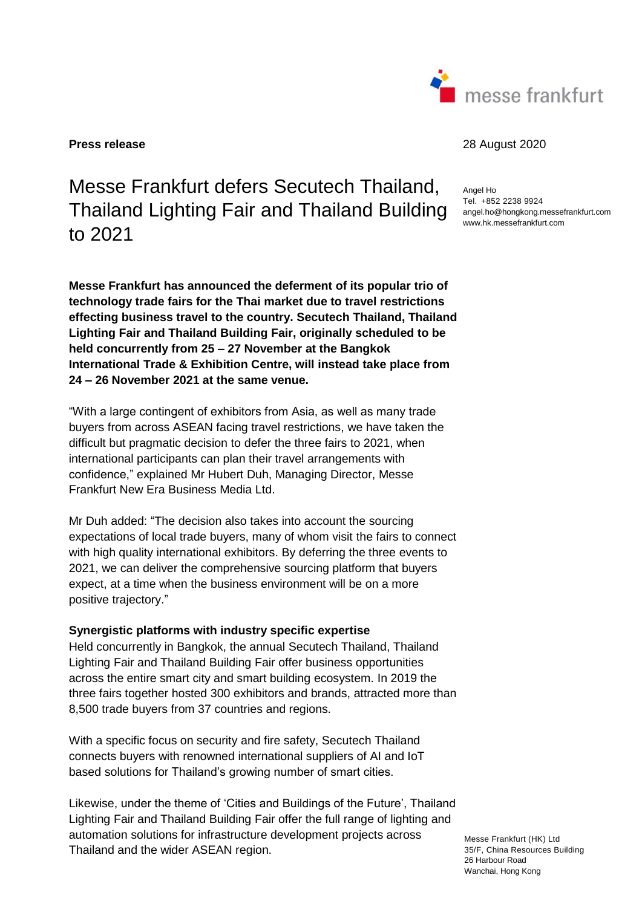

## **Press release** 28 August 2020

Messe Frankfurt defers Secutech Thailand, Thailand Lighting Fair and Thailand Building to 2021

**Messe Frankfurt has announced the deferment of its popular trio of technology trade fairs for the Thai market due to travel restrictions effecting business travel to the country. Secutech Thailand, Thailand Lighting Fair and Thailand Building Fair, originally scheduled to be held concurrently from 25 – 27 November at the Bangkok International Trade & Exhibition Centre, will instead take place from 24 – 26 November 2021 at the same venue.** 

"With a large contingent of exhibitors from Asia, as well as many trade buyers from across ASEAN facing travel restrictions, we have taken the difficult but pragmatic decision to defer the three fairs to 2021, when international participants can plan their travel arrangements with confidence," explained Mr Hubert Duh, Managing Director, Messe Frankfurt New Era Business Media Ltd.

Mr Duh added: "The decision also takes into account the sourcing expectations of local trade buyers, many of whom visit the fairs to connect with high quality international exhibitors. By deferring the three events to 2021, we can deliver the comprehensive sourcing platform that buyers expect, at a time when the business environment will be on a more positive trajectory."

## **Synergistic platforms with industry specific expertise**

Held concurrently in Bangkok, the annual Secutech Thailand, Thailand Lighting Fair and Thailand Building Fair offer business opportunities across the entire smart city and smart building ecosystem. In 2019 the three fairs together hosted 300 exhibitors and brands, attracted more than 8,500 trade buyers from 37 countries and regions.

With a specific focus on security and fire safety, Secutech Thailand connects buyers with renowned international suppliers of AI and IoT based solutions for Thailand's growing number of smart cities.

Likewise, under the theme of 'Cities and Buildings of the Future', Thailand Lighting Fair and Thailand Building Fair offer the full range of lighting and automation solutions for infrastructure development projects across Thailand and the wider ASEAN region.

Angel Ho Tel. +852 2238 9924 angel.ho@hongkong.messefrankfurt.com www.hk.messefrankfurt.com

Messe Frankfurt (HK) Ltd 35/F, China Resources Building 26 Harbour Road Wanchai, Hong Kong